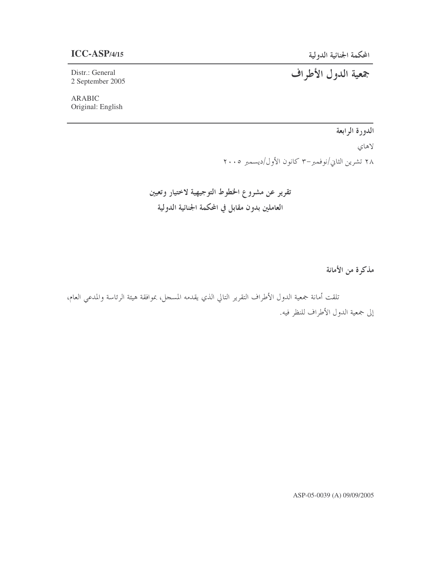#### **ICC-ASP**/4/15

Distr.: General 2 September 2005

## جمعية الدول الأطراف

ARABIC Original: English

## الدورة الرابعة

لاهاي ۲۸ تشرین الثاني/نوفمبر–۳ کانون الأول/دیسمبر ۲۰۰۵

تقرير عن مشروع الخطوط التوجيهية لاختيار وتعيين العاملين بدون مقابل في المحكمة الجنائية الدولية

مذكرة من الأمانة

تلقت أمانة جمعية الدول الأطراف التقرير التالي الذي يقدمه المسجل، بموافقة هيئة الرئاسة والمدعي العام، إلى جمعية الدول الأطراف للنظر فيه.

ASP-05-0039 (A) 09/09/2005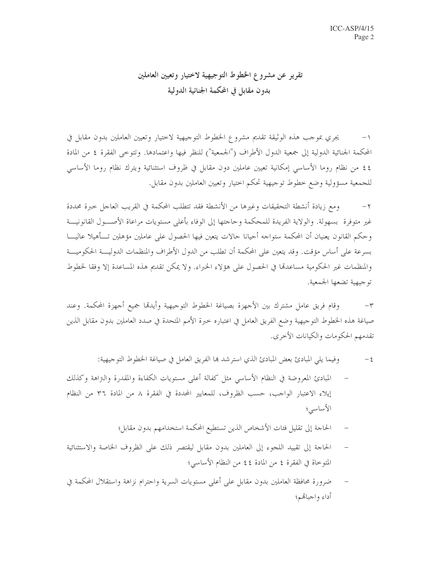## تقرير عن مشروع الخطوط التوجيهية لاختيار وتعيين العاملين بدون مقابل في المحكمة الجنائية الدولية

يجري بموجب هذه الوثيقة تقديم مشروع الخطوط التوحيهية لاختيار وتعيين العاملين بدون مقابل في  $-1$ المحكمة الجنائية الدولية إلى جمعية الدول الأطراف ("الجمعية") للنظر فيها واعتمادها. وتتوخى الفقرة ٤ من المادة ٤٤ من نظام روما الأساسي إمكانية تعيين عاملين دون مقابل في ظروف استثنائية ويترك نظام روما الأساسي للجمعية مسؤولية وضع خطوط توجيهية تحكم احتيار وتعيين العاملين بدون مقابل.

ومع زيادة أنشطة التحقيقات وغيرها من الأنشطة فقد تتطلب المحكمة في القريب العاجل خبرة محددة  $-\gamma$ غير متوفرة بسهولة. والولاية الفريدة للمحكمة وحاجتها إلى الوفاء بأعلى مستويات مراعاة الأصـــول القانونيـــة وحكم القانون يعنيان أن المحكمة ستواجه أحيانا حالات يتعين فيها الحصول على عاملين مؤهلين تـــأهيلا عاليــــا بسرعة على أساس مؤقت. وقد يتعين على المحكمة أن تطلب من الدول الأطراف والمنظمات الدوليــــة الحكوميــــة والمنظمات غير الحكومية مساعدقما في الحصول على هؤلاء الخبراء. ولا يمكن تقديم هذه المساعدة إلا وفقا لخطوط توجيهية تضعها الجمعية.

وقام فريق عامل مشترك بين الأحهزة بصياغة الخطوط التوجيهية وأيدقما جميع أحهزة المحكمة. وعند  $-\tau$ صياغة هذه الخطوط التوجيهية وضع الفريق العامل في اعتباره خبرة الأمم المتحدة في صدد العاملين بدون مقابل الذين تقدمهم الحكومات والكيانات الأخرى.

- المبادئ المعروضة في النظام الأساسي مثل كفالة أعلى مستويات الكفاءة والمقدرة والتراهة وكذلك إيلاء الاعتبار الواحب، حسب الظروف، للمعايير المحددة في الفقرة ٨ من المادة ٣٦ من النظام الأساسى؛
	- الحاجة إلى تقليل فئات الأشخاص الذين تستطيع المحكمة استخدامهم بدون مقابل؛
- الحاجة إلى تقييد اللجوء إلى العاملين بدون مقابل ليقتصر ذلك على الظروف الخاصة والاستثنائية المتوحاة في الفقرة ٤ من المادة ٤٤ من النظام الأساسي؛
- ضرورة محافظة العاملين بدون مقابل على أعلى مستويات السرية واحترام نزاهة واستقلال المحكمة في أداء واجبالهم؛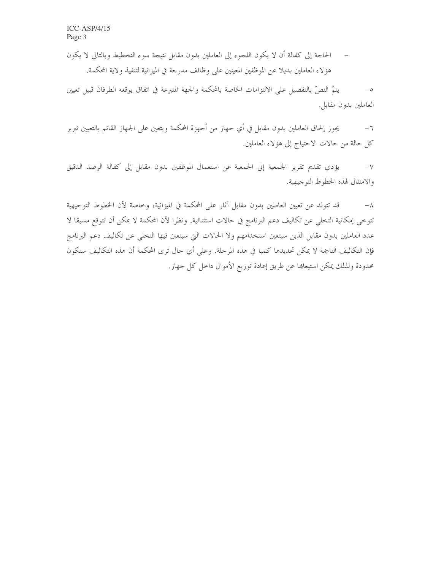الحاجة إلى كفالة أن لا يكون اللجوء إلى العاملين بدون مقابل نتيجة سوء التخطيط وبالتالي لا يكون  $\hspace{0.1cm}$   $\hspace{0.1cm}$ هؤلاء العاملين بديلًا عن الموظفين المعينين على وظائف مدرجة في الميزانية لتنفيذ ولاية المحكمة.

يتمَّ النصُّ بالتفصيل على الالتزامات الخاصة بالمحكمة والجهة المتبرعة في اتفاق يوقعه الطرفان قبيل تعيين  $-\circ$ العاملين بدون مقابل.

يجوز إلحاق العاملين بدون مقابل في أي جهاز من أجهزة المحكمة ويتعين على الجهاز القائم بالتعيين تبرير  $-$  7 كل حالة من حالات الاحتياج إلى هؤلاء العاملين.

يؤدي تقديم تقرير الجمعية إلى الجمعية عن استعمال الموظفين بدون مقابل إلى كفالة الرصد الدقيق  $-\vee$ والامتثال لهذه الخطوط التوجيهية.

قد تتولد عن تعيين العاملين بدون مقابل آثار على المحكمة في الميزانية، وخاصة لأن الخطوط التوجيهية  $-\lambda$ تتوخى إمكانية التخلي عن تكاليف دعم البرنامج في حالات استثنائية. ونظرا لأن المحكمة لا يمكن أن تتوقع مسبقا لا عدد العاملين بدون مقابل الذين سيتعين استخدامهم ولا الحالات التي سيتعين فيها التخلي عن تكاليف دعم البرنامج فإن التكاليف الناجمة لا يمكن تحديدها كميا في هذه المرحلة. وعلى أي حال ترى المحكمة أن هذه التكاليف ستكون محدودة ولذلك يمكن استيعاها عن طريق إعادة توزيع الأموال داخل كل جهاز.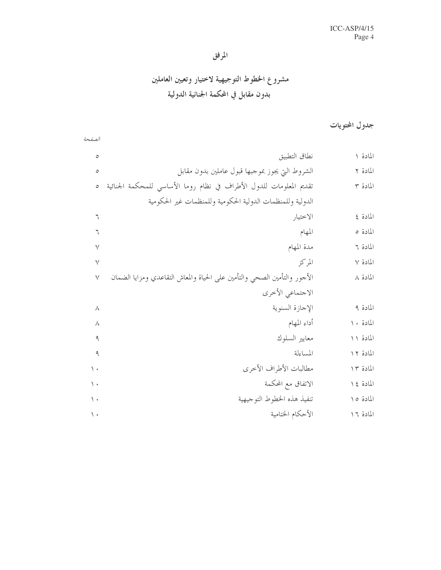## المرفق

# مشروع الخطوط التوجيهية لاختيار وتعيين العاملين بدون مقابل في المحكمة الجنائية الدولية

الصفحة

## جدول المحتويات

| $\circ$         | نطاق التطبيق                                                             | المادة ١  |
|-----------------|--------------------------------------------------------------------------|-----------|
| ٥               | الشروط التي يجوز بموجبها قبول عاملين بدون مقابل                          | المادة ٢  |
| $\circ$         | تقديم المعلومات للدول الأطراف في نظام روما الأساسي للمحكمة الجنائية      | المادة ٣  |
|                 | الدولية وللمنظمات الدولية الحكومية وللمنظمات غير الحكومية                |           |
| ٦               | الاختيار                                                                 | المادة ٤  |
| ٦               | المهام                                                                   | المادة ٥  |
| ٧               | مدة المهام                                                               | المادة ٦  |
| $\vee$          | المركز                                                                   | المادة ٧  |
| $\vee$          | الأحور والتأمين الصحى والتأمين على الحياة والمعاش التقاعدي ومزايا الضمان | المادة ٨  |
|                 | الاجتماعي الأخرى                                                         |           |
| л               | الإجازة السنوية                                                          | المادة ٩  |
| ٨               | أداء المهام                                                              | المادة ١٠ |
| ٩               | معايير السلوك                                                            | المادة ١١ |
| ٩               | المساءلة                                                                 | المادة ١٢ |
| $\setminus$     | مطالبات الأطراف الأخرى                                                   | المادة ١٣ |
| $\langle \cdot$ | الاتفاق مع المحكمة                                                       | المادة ٤١ |
| $\langle \cdot$ | تنفيذ هذه الخطوط التوجيهية                                               | المادة ١٥ |
| $\langle \cdot$ | الأحكام الختامية                                                         | المادة ١٦ |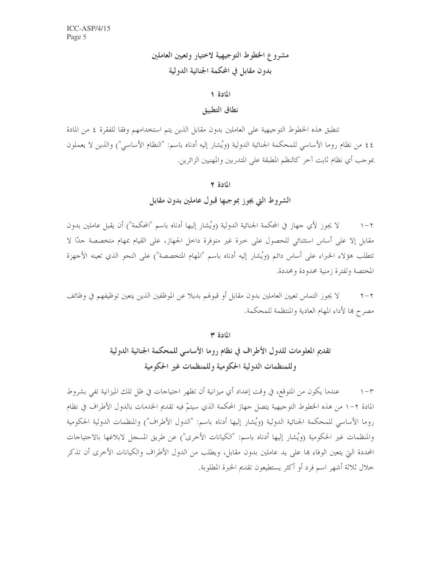مشروع الخطوط التوجيهية لاختيار وتعيين العاملين بدون مقابل في المحكمة الجنائية الدولية

#### المادة ١

#### نطاق التطبيق

تنطبق هذه الخطوط التوجيهية على العاملين بدون مقابل الذين يتم استخدامهم وفقا للفقرة ٤ من المادة ٤٤ من نظام روما الأساسي للمحكمة الجنائية الدولية (ويُشار إليه أدناه باسم: "النظام الأساسي") والذين لا يعملون بموحب أي نظام ثابت آخر كالنظم المطبقة على المتدربين والمهنيين الزائرين.

#### المادة ٢

#### الشروط التي يجوز بموجبها قبول عاملين بدون مقابل

لا يجوز لأي حهاز في المحكمة الجنائية الدولية (ويُشار إليها أدناه باسم "المحكمة") أن يقبل عاملين بدون  $\gamma - \gamma$ مقابل إلا على أساس استثنائي للحصول على خبرة غير متوفرة داخل الجهاز، على القيام بمهام متخصصة حدًّا لا تتطلب هؤلاء الخبراء على أساس دائم (ويُشار إليه أدناه باسم "المهام المتخصصة") على النحو الذي تعينه الأجهزة المختصة ولفترة زمنية محدودة ومحددة.

لا يجوز التماس تعيين العاملين بدون مقابل أو قبولهم بديلا عن الموظفين الذين يتعين توظيفهم في وظائف  $\tau - \tau$ مصرح ها لأداء المهام العادية والمنتظمة للمحكمة.

#### المادة ٣

تقديم المعلومات للدول الأطراف في نظام روما الأساسي للمحكمة الجنائية الدولية وللمنظمات الدولية الحكومية وللمنظمات غير الحكومية

عندما يكون من المتوقع، في وقت إعداد أي ميزانية أن تظهر احتياجات في ظل تلك الميزانية تفي بشروط  $\wedge -\curlyvee$ المادة ٢–١ من هذه الخطوط التوجيهية يتصل جهاز المحكمة الذي سيتمّ فيه تقديم الخدمات بالدول الأطراف في نظام روما الأساسي للمحكمة الجنائية الدولية (ويُشار إليها أدناه باسم: "الدول الأطراف") والمنظمات الدولية الحكومية والمنظمات غير الحكومية (ويُشار إليها أدناه باسم: "الكيانات الأخرى") عن طريق المسجل لابلاغها بالاحتياحات المحددة التي يتعين الوفاء بما على يد عاملين بدون مقابل، ويطلب من الدول الأطراف والكيانات الأخرى أن تذكر خلال ثلاثة أشهر اسم فرد أو أكثر يستطيعون تقديم الخبرة المطلوبة.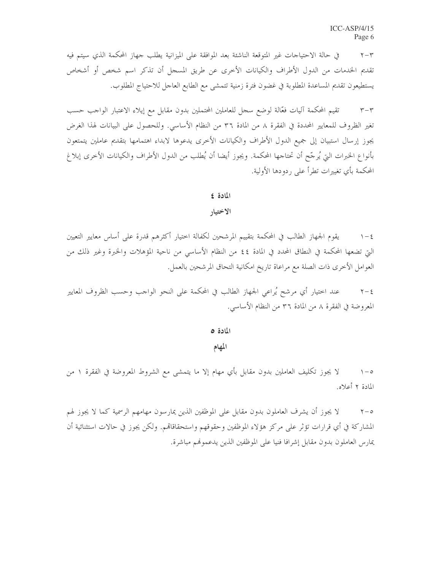في حالة الاحتياجات غير المتوقعة الناشئة بعد الموافقة على الميزانية يطلب جهاز المحكمة الذي سيتم فيه  $\Upsilon - \Upsilon$ تقديم الخدمات من الدول الأطراف والكيانات الأخرى عن طريق المسجل أن تذكر اسم شخص أو أشخاص يستطيعون تقديم المساعدة المطلوبة في غضون فترة زمنية تتمشى مع الطابع العاجل للاحتياج المطلوب.

تقيم المحكمة آليات فعّالة لوضع سحل للعاملين المحتملين بدون مقابل مع إيلاء الاعتبار الواحب حسب  $r-r$ تغير الظروف للمعايير المحددة في الفقرة ٨ من المادة ٣٦ من النظام الأساسي. وللحصول على البيانات لهذا الغرض يجوز إرسال استبيان إلى جميع الدول الأطراف والكيانات الأخرى يدعوها لابداء اهتمامها بتقديم عاملين يتمتعون بأنواع الخبرات التي يُرجّح أن تحتاجها المحكمة. ويجوز أيضا أن يُطلب من الدول الأطراف والكيانات الأخرى إبلاغ المحكمة بأي تغييرات تطرأ على ردودها الأولية.

#### المادة ٤

#### الاختيار

يقوم الجهاز الطالب في المحكمة بتقييم المرشحين لكفالة اختيار أكثرهم قدرة على أساس معايير التعيين  $\lambda - 5$ التي تضعها المحكمة في النطاق المحدد في المادة ٤٤ من النظام الأساسي من ناحية المؤهلات والخبرة وغير ذلك من العوامل الأخرى ذات الصلة مع مراعاة تاريخ امكانية التحاق المرشحين بالعمل.

عند اختيار أي مرشح يُراعي الجهاز الطالب في المحكمة على النحو الواجب وحسب الظروف المعايير  $\tau - \epsilon$ المعروضة في الفقرة ٨ من المادة ٣٦ من النظام الأساسي.

المادة ٥

المهام

لا يجوز تكليف العاملين بدون مقابل بأي مهام إلا ما يتمشى مع الشروط المعروضة في الفقرة ١ من  $\wedge$   $-\circ$ المادة ٢ أعلاه.

لا يجوز أن يشرف العاملون بدون مقابل على الموظفين الذين يمارسون مهامهم الرسمية كما لا يجوز لهم  $\gamma - \circ$ المشاركة في أي قرارات تؤثَّر على مركز هؤلاء الموظفين وحقوقهم واستحقاقاقم. ولكن يجوز في حالات استثنائية أن يمارس العاملون بدون مقابل إشرافا فنيا على الموظفين الذين يدعمونهم مباشرة.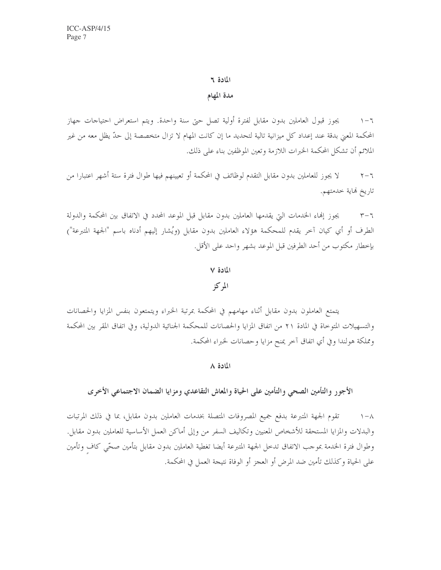#### المادة ٢

مدة المهام

يجوز قبول العاملين بدون مقابل لفترة أولية تصل حتى سنة واحدة. ويتم استعراض احتياجات جهاز  $\mathcal{L} - \mathcal{L}$ المحكمة المعنى بدقة عند إعداد كل ميزانية تالية لتحديد ما إن كانت المهام لا تزال متخصصة إلى حدّ يظل معه من غير الملائم أن تشكل المحكمة الحبرات اللازمة وتعين الموظفين بناء على ذلك.

لا يجوز للعاملين بدون مقابل التقدم لوظائف في المحكمة أو تعيينهم فيها طوال فترة ستة أشهر اعتبارا من  $\tau - \tau$ تاريخ فماية خدمتهم.

يجوز إنماء الخدمات التي يقدمها العاملين بدون مقابل قبل الموعد المحدد في الاتفاق بين المحكمة والدولة  $r-\tau$ الطرف أو أي كيان آخر يقدم للمحكمة هؤلاء العاملين بدون مقابل (ويُشار إليهم أدناه باسم "الجهة المتبرعة") بإخطار مكتوب من أحد الطرفين قبل الموعد بشهر واحد على الأقل.

#### المادة ٧

#### المركز

يتمتع العاملون بدون مقابل أثناء مهامهم في المحكمة بمرتبة الخبراء ويتمتعون بنفس المزايا والحصانات والتسهيلات المتوحاة في المادة ٢١ من اتفاق المزايا والحصانات للمحكمة الجنائية الدولية، وفي اتفاق المقر بين المحكمة ومملكة هولندا وفي أي اتفاق آخر يمنح مزايا وحصانات لخبراء المحكمة.

#### المادة ٨

الأجور والتأمين الصحى والتأمين على الحياة والمعاش التقاعدي ومزايا الضمان الاجتماعي الأخرى

تقوم الجهة المتبرعة بدفع جميع المصروفات المتصلة بخدمات العاملين بدون مقابل، بما في ذلك المرتبات  $\wedge -\wedge$ والبدلات والمزايا المستحقة للأشخاص المعنيين وتكاليف السفر من وإلى أماكن العمل الأساسية للعاملين بدون مقابل. وطوال فترة الخدمة بموجب الاتفاق تدحل الجهة المتبرعة أيضا تغطية العاملين بدون مقابل بتأمين صحّى كاف وتأمين على الحياة وكذلك تأمين ضد المرض أو العجز أو الوفاة نتيجة العمل في المحكمة.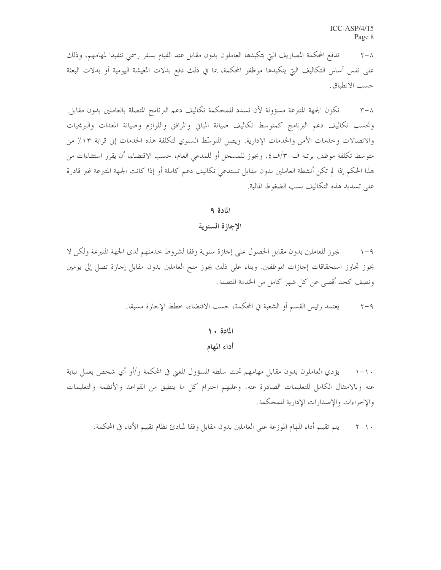تدفع المحكمة المصاريف التي يتكبدها العاملون بدون مقابل عند القيام بسفر رسمي تنفيذا لمهامهم، وذلك  $\tau - \lambda$ على نفس أساس التكاليف التي يتكبدها موظفو المحكمة، بما في ذلك دفع بدلات المعيشة اليومية أو بدلات البعثة حسب الانطباق.

تكون الجهة المتبرعة مسؤولة لأن تسدد للمحكمة تكاليف دعم البرنامج المتصلة بالعاملين بدون مقابل.  $\tau-\lambda$ وتحسب تكاليف دعم البرنامج كمتوسط تكاليف صيانة المباني والمرافق واللوازم وصيانة المعدات والبرمجيات والاتصالات وحدمات الأمن والخدمات الإدارية. ويصل المتوسِّط السنوي لتكلفة هذه الخدمات إلى قرابة ١٣٪ من متوسط تكلفة موظف برتبة ف-٣/ف٤. ويجوز للمسجل أو للمدعى العام، حسب الاقتضاء، أن يقرر استثناءات من هذا الحكم إذا لم تكن أنشطة العاملين بدون مقابل تستدعى تكاليف دعم كاملة أو إذا كانت الجهة المتبرعة غير قادرة على تسديد هذه التكاليف بسب الضغوط المالية.

#### المادة ٩

الإجازة السنوية

يجوز للعاملين بدون مقابل الحصول على إجازة سنوية وفقا لشروط حدمتهم لدى الجهة المتبرعة ولكن لا  $\wedge -9$ يجوز تجاوز استحقاقات إجازات الموظفين. وبناء على ذلك يجوز منح العاملين بدون مقابل إجازة تصل إلى يومين ونصف كحد أقصى عن كل شهر كامل من الخدمة المتصلة.

> يعتمد رئيس القسم أو الشعبة في المحكمة، حسب الاقتضاء، خطط الإجازة مسبقا.  $\tau - q$

# المادة ١٠

#### أداء المهام

يؤدي العاملون بدون مقابل مهامهم تحت سلطة المسؤول المعنى في المحكمة و/أو أي شخص يعمل نيابة  $\setminus - \setminus$ عنه وبالامتثال الكامل للتعليمات الصادرة عنه. وعليهم احترام كل ما ينطبق من القواعد والأنظمة والتعليمات والإجراءات والإصدارات الإدارية للمحكمة.

يتم تقييم أداء المهام الموزعة على العاملين بدون مقابل وفقا لمبادئ نظام تقييم الأداء في المحكمة.  $\Upsilon - \Upsilon$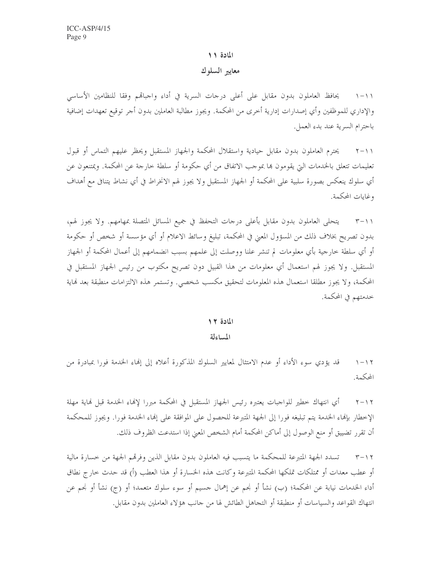#### المادة ١١

#### معايير السلوك

١١-١ يحافظ العاملون بدون مقابل على أعلى درجات السرية في أداء واجباقم وفقا للنظامين الأساسي والإداري للموظفين وأي إصدارات إدارية أخرى من المحكمة. ويجوز مطالبة العاملين بدون أحر توقيع تعهدات إضافية باحترام السرية عند بدء العمل.

٢١١-٢ يحترم العاملون بدون مقابل حيادية واستقلال المحكمة والجهاز المستقبل ويحظر عليهم التماس أو قبول تعليمات تتعلق بالحدمات التي يقومون بما بموجب الاتفاق من أي حكومة أو سلطة خارجة عن المحكمة. ويمتنعون عن أي سلوك ينعكس بصورة سلبية على المحكمة أو الجهاز المستقبل ولا يجوز لهم الانخراط في أي نشاط يتنافى مع أهداف وغابات المحكمة.

يتحلى العاملون بدون مقابل بأعلى درجات التحفظ في جميع المسائل المتصلة بمهامهم. ولا يجوز لهم،  $\tau$   $\tau$   $\rightarrow$   $\gamma$ بدون تصريح بخلاف ذلك من المسؤول المعنى في المحكمة، تبليغ وسائط الاعلام أو أي مؤسسة أو شخص أو حكومة أو أي سلطة حارجية بأي معلومات لم تنشر علنا ووصلت إلى علمهم بسبب انضمامهم إلى أعمال المحكمة أو الجهاز المستقبل. ولا يجوز لهم استعمال أي معلومات من هذا القبيل دون تصريح مكتوب من رئيس الجهاز المستقبل في المحكمة، ولا يجوز مطلقا استعمال هذه المعلومات لتحقيق مكسب شخصي. وتستمر هذه الالتزامات منطبقة بعد نماية خدمتهم في المحكمة.

#### المادة ١٢

#### المساءلة

قد يؤدي سوءِ الأداءِ أو عدم الامتثال لمعايير السلوك المذكورة أعلاه إلى إلهاءِ الخدمة فورا بمبادرة من  $1 - 17$ المحكمة.

أي انتهاك حطير للواجبات يعتبره رئيس الجهاز المستقبل في المحكمة مبررا لإنهاء الحدمة قبل فماية مهلة  $Y - YY$ الإخطار بإنهاء الخدمة يتم تبليغه فورا إلى الجهة المتبرعة للحصول على الموافقة على إنهاء الخدمة فورا. ويجوز للمحكمة أن تقرر تضييق أو منع الوصول إلى أماكن المحكمة أمام الشخص المعنى إذا استدعت الظروف ذلك.

تسدد الجهة المتبرعة للمحكمة ما يتسبب فيه العاملون بدون مقابل الذين وفرقمم الجهة من حسارة مالية  $\tau - \gamma \tau$ أو عطب معدات أو ممتلكات تملكها المحكمة المتبرعة وكانت هذه الخسارة أو هذا العطب (أ) قد حدث حارج نطاق أداء الخدمات نيابة عن المحكمة؛ (ب) نشأ أو نجم عن إهمال جسيم أو سوء سلوك متعمد؛ أو (ج) نشأ أو نجم عن انتهاك القواعد والسياسات أو منطبقة أو التجاهل الطائش لها من جانب هؤلاء العاملين بدون مقابل.